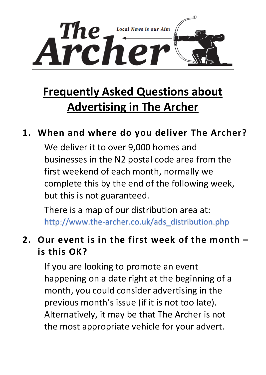

# **Frequently Asked Questions about Advertising in The Archer**

### **1. When and where do you deliver The Archer?**

We deliver it to over 9,000 homes and businesses in the N2 postal code area from the first weekend of each month, normally we complete this by the end of the following week, but this is not guaranteed.

There is a map of our distribution area at: [http://www.the-archer.co.uk/ads\\_distribution.php](http://www.the-archer.co.uk/ads_distribution.php)

# **2. Our event is in the first week of the month – is this OK?**

If you are looking to promote an event happening on a date right at the beginning of a month, you could consider advertising in the previous month's issue (if it is not too late). Alternatively, it may be that The Archer is not the most appropriate vehicle for your advert.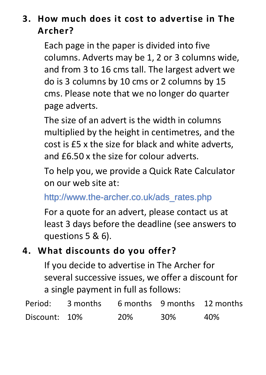# **3. How much does it cost to advertise in The Archer?**

Each page in the paper is divided into five columns. Adverts may be 1, 2 or 3 columns wide, and from 3 to 16 cms tall. The largest advert we do is 3 columns by 10 cms or 2 columns by 15 cms. Please note that we no longer do quarter page adverts.

The size of an advert is the width in columns multiplied by the height in centimetres, and the cost is £5 x the size for black and white adverts, and £6.50 x the size for colour adverts.

To help you, we provide a Quick Rate Calculator on our web site at:

[http://www.the-archer.co.uk/ads\\_rates.php](http://www.the-archer.co.uk/ads_rates.php)

For a quote for an advert, please contact us at least 3 days before the deadline (see answers to questions 5 & 6).

### **4. What discounts do you offer?**

If you decide to advertise in The Archer for several successive issues, we offer a discount for a single payment in full as follows:

| Period:       | 3 months |     |     | 6 months 9 months 12 months |
|---------------|----------|-----|-----|-----------------------------|
| Discount: 10% |          | 20% | 30% | 40%                         |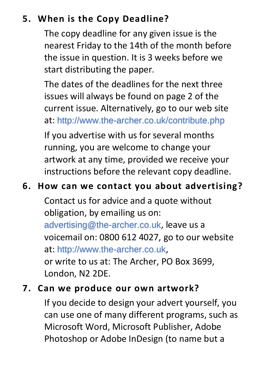# **5. When is the Copy Deadline?**

The copy deadline for any given issue is the nearest Friday to the 14th of the month before the issue in question. It is 3 weeks before we start distributing the paper.

The dates of the deadlines for the next three issues will always be found on page 2 of the current issue. Alternatively, go to our web site at: <http://www.the-archer.co.uk/contribute.php>

If you advertise with us for several months running, you are welcome to change your artwork at any time, provided we receive your instructions before the relevant copy deadline.

### **6. How can we contact you about advertising?**

Contact us for advice and a quote without obligation, by emailing us on: [advertising@the-archer.co.uk](mailto:advertising@the-archer.co.uk), leave us a voicemail on: 0800 612 4027, go to our website at: [http://www.the-archer.co.uk](http://www.the-archer.co.uk/), or write to us at: The Archer, PO Box 3699, London, N2 2DE.

#### **7. Can we produce our own artwork?**

If you decide to design your advert yourself, you can use one of many different programs, such as Microsoft Word, Microsoft Publisher, Adobe Photoshop or Adobe InDesign (to name but a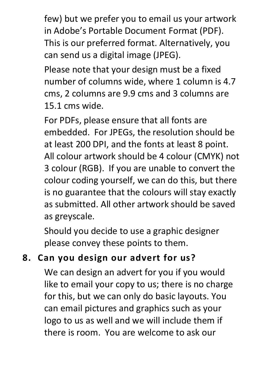few) but we prefer you to email us your artwork in Adobe's Portable Document Format (PDF). This is our preferred format. Alternatively, you can send us a digital image (JPEG).

Please note that your design must be a fixed number of columns wide, where 1 column is 4.7 cms, 2 columns are 9.9 cms and 3 columns are 15.1 cms wide.

For PDFs, please ensure that all fonts are embedded. For JPEGs, the resolution should be at least 200 DPI, and the fonts at least 8 point. All colour artwork should be 4 colour (CMYK) not 3 colour (RGB). If you are unable to convert the colour coding yourself, we can do this, but there is no guarantee that the colours will stay exactly as submitted. All other artwork should be saved as greyscale.

Should you decide to use a graphic designer please convey these points to them.

# **8. Can you design our advert for us?**

We can design an advert for you if you would like to email your copy to us; there is no charge for this, but we can only do basic layouts. You can email pictures and graphics such as your logo to us as well and we will include them if there is room. You are welcome to ask our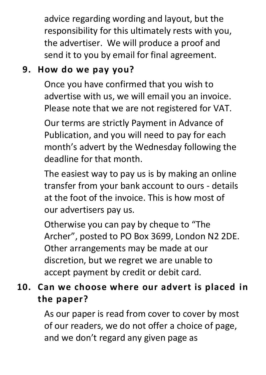advice regarding wording and layout, but the responsibility for this ultimately rests with you, the advertiser. We will produce a proof and send it to you by email for final agreement.

# **9. How do we pay you?**

Once you have confirmed that you wish to advertise with us, we will email you an invoice. Please note that we are not registered for VAT.

Our terms are strictly Payment in Advance of Publication, and you will need to pay for each month's advert by the Wednesday following the deadline for that month.

The easiest way to pay us is by making an online transfer from your bank account to ours - details at the foot of the invoice. This is how most of our advertisers pay us.

Otherwise you can pay by cheque to "The Archer", posted to PO Box 3699, London N2 2DE. Other arrangements may be made at our discretion, but we regret we are unable to accept payment by credit or debit card.

# **10. Can we choose where our advert is placed in the paper?**

As our paper is read from cover to cover by most of our readers, we do not offer a choice of page, and we don't regard any given page as